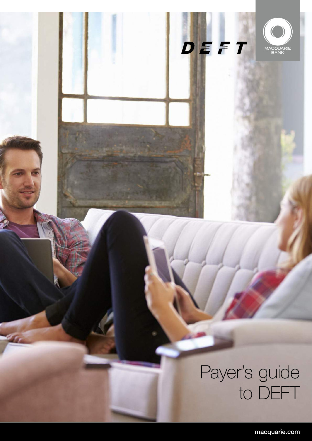# Payer's guide to DEFT

a,

 $D E F T$ 

MACQUARIE<br>BANK

macquarie.com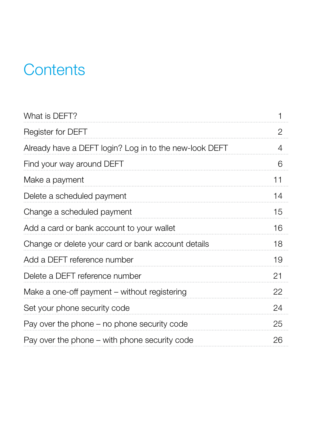# **Contents**

| What is DEFT?                                          | 1              |
|--------------------------------------------------------|----------------|
| Register for DEFT                                      | $\overline{2}$ |
| Already have a DEFT login? Log in to the new-look DEFT | 4              |
| Find your way around DEFT                              | 6              |
| Make a payment                                         | 11             |
| Delete a scheduled payment                             | 14             |
| Change a scheduled payment                             | 15             |
| Add a card or bank account to your wallet              | 16             |
| Change or delete your card or bank account details     | 18             |
| Add a DEFT reference number                            | 19             |
| Delete a DEFT reference number                         | 21             |
| Make a one-off payment – without registering           | 22             |
| Set your phone security code                           | 24             |
| Pay over the phone $-$ no phone security code          | 25             |
| Pay over the phone $-$ with phone security code        | 26             |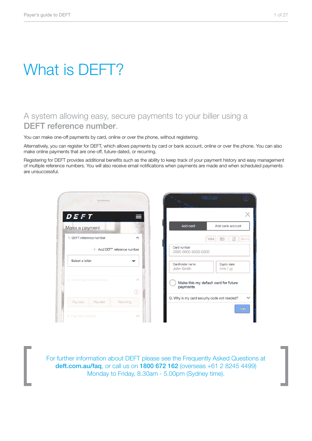# What is DEFT?

### A system allowing easy, secure payments to your biller using a DEFT reference number.

You can make one-off payments by card, online or over the phone, without registering.

Alternatively, you can register for DEFT, which allows payments by card or bank account, online or over the phone. You can also make online payments that are one-off, future-dated, or recurring.

Registering for DEFT provides additional benefits such as the ability to keep track of your payment history and easy management of multiple reference numbers. You will also receive email notifications when payments are made and when scheduled payments are unsuccessful.



For further information about DEFT please see the Frequently Asked Questions at deft.com.au/faq, or call us on 1800 672 162 (overseas +61 2 8245 4499) Monday to Friday, 8.30am - 5.00pm (Sydney time).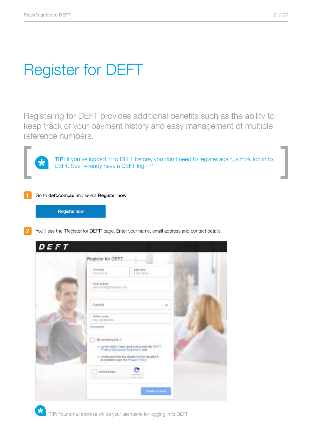**The State** 

# Register for DEFT

Registering for DEFT provides additional benefits such as the ability to keep track of your payment history and easy management of multiple reference numbers.



**TIP**: If you've logged in to DEFT before, you don't need to register again, simply log in to DEFT. See 'Already have a DEFT login?'



Go to deft.com.au and select Register now.

**Register now** 

You'll see the 'Register for DEFT' page. Enter your name, email address and contact details.

| DEFT |                                         |                                                                                                                                                                              |  |
|------|-----------------------------------------|------------------------------------------------------------------------------------------------------------------------------------------------------------------------------|--|
|      | Register for DEFT                       |                                                                                                                                                                              |  |
|      | First name<br>First name                | Last name<br>Last hame.                                                                                                                                                      |  |
|      | Email address<br>john smith@example.com |                                                                                                                                                                              |  |
|      | Australia                               |                                                                                                                                                                              |  |
|      | Mobile number<br>a.g. Otecnocco.        |                                                                                                                                                                              |  |
|      | Add landling                            |                                                                                                                                                                              |  |
|      | By selecting this, II                   | - confirm that I have read and accept the DEFT<br>Froduct Disclosure Statement, and<br>· understand that my details will be handled in<br>accordance with the Privacy Policy |  |
|      | tim not a robot                         | <b>ACATED 6</b><br><b>Distance Starter</b>                                                                                                                                   |  |
|      |                                         | Create account                                                                                                                                                               |  |

TIP: Your email address will be your username for logging in to DEFT.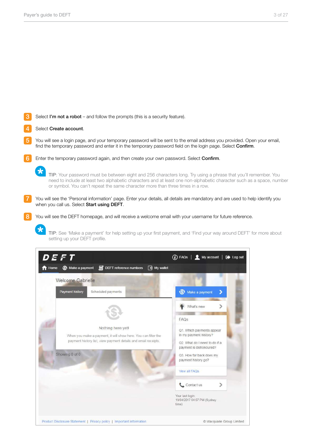3 Select I'm not a robot – and follow the prompts (this is a security feature).

#### 4 Select Create account.

 $\star$ 

 $\star$ 

- 5 You will see a login page, and your temporary password will be sent to the email address you provided. Open your email, find the temporary password and enter it in the temporary password field on the login page. Select Confirm.
- 6 Enter the temporary password again, and then create your own password. Select Confirm.

TIP: Your password must be between eight and 256 characters long. Try using a phrase that you'll remember. You need to include at least two alphabetic characters and at least one non-alphabetic character such as a space, number or symbol. You can't repeat the same character more than three times in a row.

You will see the 'Personal information' page. Enter your details, all details are mandatory and are used to help identify you when you call us. Select Start using DEFT.

You will see the DEFT homepage, and will receive a welcome email with your username for future reference.

TIP: See 'Make a payment' for help setting up your first payment, and 'Find your way around DEFT' for more about setting up your DEFT profile.

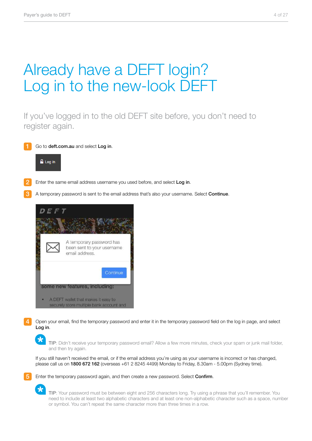# Already have a DEFT login? Log in to the new-look DEFT

If you've logged in to the old DEFT site before, you don't need to register again.

Go to deft.com.au and select Log in.



- 2
	- Enter the same email address username you used before, and select Log in.
- 3 A temporary password is sent to the email address that's also your username. Select Continue.



4 Open your email, find the temporary password and enter it in the temporary password field on the log in page, and select Log in.

TIP: Didn't receive your temporary password email? Allow a few more minutes, check your spam or junk mail folder, and then try again.

If you still haven't received the email, or if the email address you're using as your username is incorrect or has changed, please call us on 1800 672 162 (overseas +61 2 8245 4499) Monday to Friday, 8.30am - 5.00pm (Sydney time).



TIP: Your password must be between eight and 256 characters long. Try using a phrase that you'll remember. You need to include at least two alphabetic characters and at least one non-alphabetic character such as a space, number or symbol. You can't repeat the same character more than three times in a row.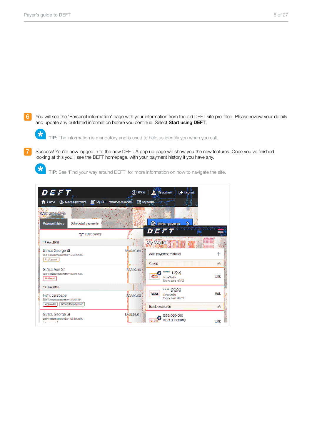6 You will see the 'Personal information' page with your information from the old DEFT site pre-filled. Please review your details and update any outdated information before you continue. Select Start using DEFT.



7 Success! You're now logged in to the new DEFT. A pop up page will show you the new features. Once you've finished looking at this you'll see the DEFT homepage, with your payment history if you have any.



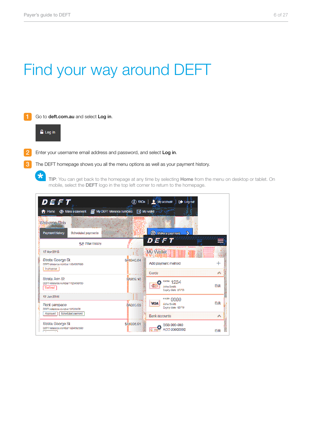# Find your way around DEFT

1 Go to deft.com.au and select Log in.



 $\star$ 

 $\overline{2}$ Enter your username email address and password, and select Log in.

 $\mathbf{R}$ The DEFT homepage shows you all the menu options as well as your payment history.

> TIP: You can get back to the homepage at any time by selecting Home from the menu on desktop or tablet. On mobile, select the DEFT logo in the top left corner to return to the homepage.

| DEFT<br>Nake a payment. I My DEFT reference numbers<br>Tibme.                   |                  | 4 FACe   My account<br><b>I</b> De Logout<br><b>Ed My wallet</b> and if |       |
|---------------------------------------------------------------------------------|------------------|-------------------------------------------------------------------------|-------|
| Welcome-Elvis<br>Payment history<br>Scheduled payments                          |                  | <sup><sup>2</sup> Make a payment</sup>                                  |       |
| film Filter bisions<br>17 Apr 2018                                              |                  | DEFT<br>My Wallet                                                       |       |
| Strata George St<br>DEFT reference Hamber 1284567890<br>in grogeras.            | <b>SA1340.84</b> | Add payment method                                                      |       |
| Strata Ann St<br>DEFT reference number 1123456730<br><b>Beckings</b>            | \$3839.10        | 宅合社会<br>**** 1234<br><b>John Smith</b><br>Expiry date 01/18             | Edit  |
| 12 Jan 2015<br>Rent carspace                                                    | \$4320.00        | **** 9999<br><b>MISA</b><br>John Smith<br>Expiry date 02/19             | Edit  |
| DEFT reference number 12123456<br><b>Boherhard</b> payment<br>Approved          |                  | <b>Bank abouting</b>                                                    |       |
| Strata George St<br>DEFT telepasco varmiser 1224567890<br><b>CALL AND THE R</b> | \$A1338.91       | BSB 000-000<br>ACC 00000000                                             | Felit |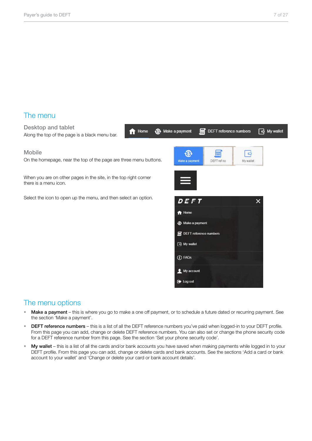### The menu

Desktop and tablet Along the top of the page is a black menu bar.

#### Mobile

On the homepage, near the top of the page are three menu buttons.

<del>n</del> Home

When you are on other pages in the site, in the top right corner there is a menu icon.

Select the icon to open up the menu, and then select an option.



### The menu options

- Make a payment this is where you go to make a one off payment, or to schedule a future dated or recurring payment. See the section 'Make a payment'.
- DEFT reference numbers this is a list of all the DEFT reference numbers you've paid when logged-in to your DEFT profile. From this page you can add, change or delete DEFT reference numbers. You can also set or change the phone security code for a DEFT reference number from this page. See the section 'Set your phone security code'.
- My wallet this is a list of all the cards and/or bank accounts you have saved when making payments while logged in to your DEFT profile. From this page you can add, change or delete cards and bank accounts. See the sections 'Add a card or bank account to your wallet' and 'Change or delete your card or bank account details'.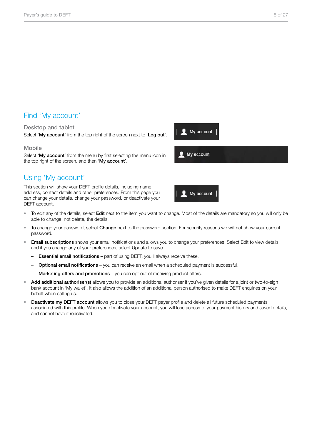### Find 'My account'

#### Desktop and tablet

Select 'My account' from the top right of the screen next to 'Log out'.

#### Mobile

Select 'My account' from the menu by first selecting the menu icon in the top right of the screen, and then 'My account'.

### Using 'My account'

This section will show your DEFT profile details, including name, address, contact details and other preferences. From this page you can change your details, change your password, or deactivate your DEFT account.



**Q** My account

My account

- To edit any of the details, select Edit next to the item you want to change. Most of the details are mandatory so you will only be able to change, not delete, the details.
- To change your password, select Change next to the password section. For security reasons we will not show your current password.
- **Email subscriptions** shows your email notifications and allows you to change your preferences. Select Edit to view details, and if you change any of your preferences, select Update to save.
	- Essential email notifications part of using DEFT, you'll always receive these.
	- Optional email notifications you can receive an email when a scheduled payment is successful.
	- Marketing offers and promotions you can opt out of receiving product offers.
- Add additional authoriser(s) allows you to provide an additional authoriser if you've given details for a joint or two-to-sign bank account in 'My wallet'. It also allows the addition of an additional person authorised to make DEFT enquiries on your behalf when calling us.
- Deactivate my DEFT account allows you to close your DEFT payer profile and delete all future scheduled payments associated with this profile. When you deactivate your account, you will lose access to your payment history and saved details, and cannot have it reactivated.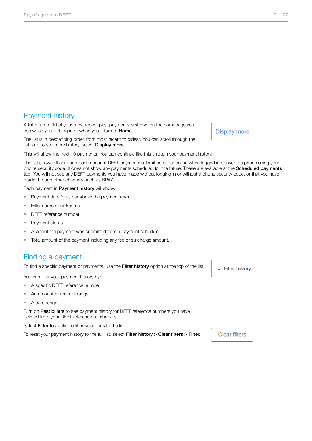### Payment history

A list of up to 10 of your most recent past payments is shown on the homepage you see when you first log in or when you return to **Home**.

The list is in descending order, from most recent to oldest. You can scroll through the list, and to see more history, select **Display more**.

This will show the next 10 payments. You can continue like this through your payment history.

The list shows all card and bank account DEFT payments submitted either online when logged in or over the phone using your phone security code. It does not show any payments scheduled for the future. These are available at the Scheduled payments tab. You will not see any DEFT payments you have made without logging in or without a phone security code, or that you have made through other channels such as BPAY.

Each payment in Payment history will show:

- Payment date (grey bar above the payment row)
- Biller name or nickname
- DEFT reference number
- Payment status
- A label if the payment was submitted from a payment schedule
- Total amount of the payment including any fee or surcharge amount.

### Finding a payment

To find a specific payment or payments, use the Filter history option at the top of the list.

You can filter your payment history by:

- A specific DEFT reference number
- An amount or amount range
- A date range.

Turn on Past billers to see payment history for DEFT reference numbers you have deleted from your DEFT reference numbers list.

Select Filter to apply the filter selections to the list.

To reset your payment history to the full list, select Filter history > Clear filters > Filter.

**t#t Filter history** 

**Clear filters** 

**Display more**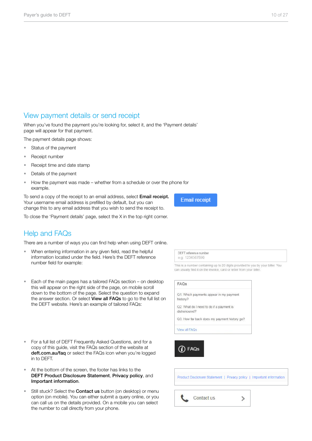### View payment details or send receipt

When you've found the payment you're looking for, select it, and the 'Payment details' page will appear for that payment.

The payment details page shows:

- Status of the payment
- Receipt number
- Receipt time and date stamp
- Details of the payment
- How the payment was made whether from a schedule or over the phone for example.

To send a copy of the receipt to an email address, select **Email receipt.** Your username email address is prefilled by default, but you can change this to any email address that you wish to send the receipt to.

To close the 'Payment details' page, select the X in the top right corner.

### Help and FAQs

There are a number of ways you can find help when using DEFT online.

- When entering information in any given field, read the helpful information located under the field. Here's the DEFT reference number field for example:
- Each of the main pages has a tailored FAQs section on desktop this will appear on the right side of the page, on mobile scroll down to the bottom of the page. Select the question to expand the answer section. Or select View all FAQs to go to the full list on the DEFT website. Here's an example of tailored FAQs:
- For a full list of DEFT Frequently Asked Questions, and for a copy of this guide, visit the FAQs section of the website at deft.com.au/faq or select the FAQs icon when you're logged in to DEFT.
- At the bottom of the screen, the footer has links to the DEFT Product Disclosure Statement, Privacy policy, and Important information.
- Still stuck? Select the **Contact us** button (on desktop) or menu option (on mobile). You can either submit a query online, or you can call us on the details provided. On a mobile you can select the number to call directly from your phone.

**Email receipt** 

DEFT reference number e.g. 1234567890

This is a number containing up to 20 digits provided to you by your biller. You can usually find it on the invoice, card or letter from your biller

| FAQS                                                     |
|----------------------------------------------------------|
| Q1. Which payments appear in my payment<br>history?      |
| Q2. What do I need to do if a payment is<br>dishonoured? |
| Q3. How far back does my payment history go?             |
| View all FAQs                                            |
| FAQs                                                     |
|                                                          |

Product Disclosure Statement | Privacy policy | Important information

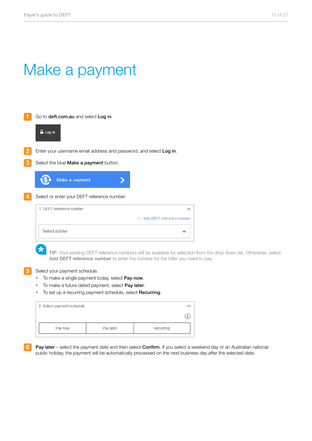### Make a payment

| Go to deft.com.au and select Log in.                                   |                                                                                                                      |
|------------------------------------------------------------------------|----------------------------------------------------------------------------------------------------------------------|
| <b>Log</b> in                                                          |                                                                                                                      |
|                                                                        |                                                                                                                      |
| Enter your username email address and password, and select Log in.     |                                                                                                                      |
| Select the blue Make a payment button.                                 |                                                                                                                      |
| Make a payment                                                         |                                                                                                                      |
|                                                                        |                                                                                                                      |
| Select or enter your DEFT reference number.                            |                                                                                                                      |
| 1. DEFT reference number                                               | ∧                                                                                                                    |
|                                                                        | Add DEFT reference number                                                                                            |
| Select a biller                                                        |                                                                                                                      |
|                                                                        |                                                                                                                      |
|                                                                        | TIP: Your existing DEFT reference numbers will be available for selection from the drop down list. Otherwise, select |
|                                                                        | Add DEFT reference number to enter the number for the biller you need to pay.                                        |
| Select your payment schedule.                                          |                                                                                                                      |
| To make a single payment today, select Pay now.                        |                                                                                                                      |
| To make a future dated payment, select Pay later.<br>۰                 |                                                                                                                      |
| To set up a recurring payment schedule, select <b>Recurring</b> .<br>٠ |                                                                                                                      |
| 2. Select payment schedule                                             | ᄉ                                                                                                                    |
|                                                                        | $\mathbf{i}$                                                                                                         |

Pay later

Pay now

6 Pay later – select the payment date and then select Confirm. If you select a weekend day or an Australian national public holiday, the payment will be automatically processed on the next business day after the selected date.

Recurring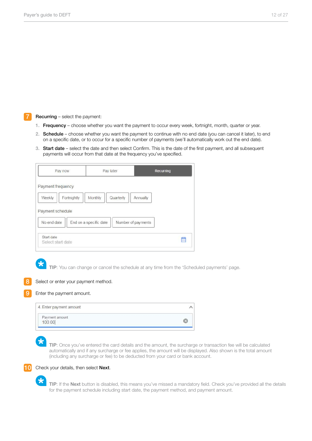#### Recurring – select the payment:

- 1. Frequency choose whether you want the payment to occur every week, fortnight, month, quarter or year.
- 2. Schedule choose whether you want the payment to continue with no end date (you can cancel it later), to end on a specific date, or to occur for a specific number of payments (we'll automatically work out the end date).
- 3. Start date select the date and then select Confirm. This is the date of the first payment, and all subsequent payments will occur from that date at the frequency you've specified.

| Pay now                                                                       | Pay later                                      | Recurring                      |
|-------------------------------------------------------------------------------|------------------------------------------------|--------------------------------|
| Payment frequency<br>Weekly<br>Fortnightly<br>Payment schedule<br>No end date | Quarterly<br>Monthly<br>End on a specific date | Annually<br>Number of payments |
| Start date<br>Select start date                                               |                                                | ≝                              |

9

TIP: You can change or cancel the schedule at any time from the 'Scheduled payments' page.



#### Enter the payment amount.

| 4. Enter payment amount  |  |
|--------------------------|--|
| Payment amount<br>100.00 |  |

 $\star$ 

TIP: Once you've entered the card details and the amount, the surcharge or transaction fee will be calculated automatically and if any surcharge or fee applies, the amount will be displayed. Also shown is the total amount (including any surcharge or fee) to be deducted from your card or bank account.



TIP: If the Next button is disabled, this means you've missed a mandatory field. Check you've provided all the details for the payment schedule including start date, the payment method, and payment amount.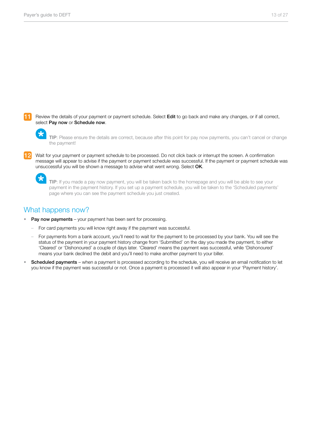Review the details of your payment or payment schedule. Select Edit to go back and make any changes, or if all correct, select Pay now or Schedule now.

TIP: Please ensure the details are correct, because after this point for pay now payments, you can't cancel or change the payment!

Wait for your payment or payment schedule to be processed. Do not click back or interrupt the screen. A confirmation message will appear to advise if the payment or payment schedule was successful. If the payment or payment schedule was unsuccessful you will be shown a message to advise what went wrong. Select OK.

TIP: If you made a pay now payment, you will be taken back to the homepage and you will be able to see your payment in the payment history. If you set up a payment schedule, you will be taken to the 'Scheduled payments' page where you can see the payment schedule you just created.

### What happens now?

大

- Pay now payments your payment has been sent for processing.
	- For card payments you will know right away if the payment was successful.
	- For payments from a bank account, you'll need to wait for the payment to be processed by your bank. You will see the status of the payment in your payment history change from 'Submitted' on the day you made the payment, to either 'Cleared' or 'Dishonoured' a couple of days later. 'Cleared' means the payment was successful, while 'Dishonoured' means your bank declined the debit and you'll need to make another payment to your biller.
- Scheduled payments when a payment is processed according to the schedule, you will receive an email notification to let you know if the payment was successful or not. Once a payment is processed it will also appear in your 'Payment history'.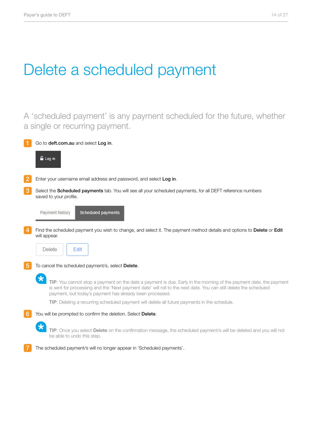# Delete a scheduled payment

A 'scheduled payment' is any payment scheduled for the future, whether a single or recurring payment.

|                | Go to deft.com.au and select Log in.                                                                                                                                                                                                                                                                           |
|----------------|----------------------------------------------------------------------------------------------------------------------------------------------------------------------------------------------------------------------------------------------------------------------------------------------------------------|
|                | <b>Log</b> in                                                                                                                                                                                                                                                                                                  |
| $\overline{2}$ | Enter your username email address and password, and select Log in.                                                                                                                                                                                                                                             |
| 3              | Select the Scheduled payments tab. You will see all your scheduled payments, for all DEFT reference numbers<br>saved to your profile.                                                                                                                                                                          |
|                | Payment history<br>Scheduled payments                                                                                                                                                                                                                                                                          |
| $\overline{4}$ | Find the scheduled payment you wish to change, and select it. The payment method details and options to Delete or Edit<br>will appear.                                                                                                                                                                         |
|                | Edit<br>Delete                                                                                                                                                                                                                                                                                                 |
| $\overline{5}$ | To cancel the scheduled payment/s, select Delete.                                                                                                                                                                                                                                                              |
|                | $\star$<br>TIP: You cannot stop a payment on the date a payment is due. Early in the morning of the payment date, the payment<br>is sent for processing and the 'Next payment date' will roll to the next date. You can still delete the scheduled<br>payment, but today's payment has already been processed. |
|                | TIP: Deleting a recurring scheduled payment will delete all future payments in the schedule.                                                                                                                                                                                                                   |
| 6              | You will be prompted to confirm the deletion. Select Delete.                                                                                                                                                                                                                                                   |
|                | TIP: Once you select Delete on the confirmation message, the scheduled payment/s will be deleted and you will not<br>be able to undo this step.                                                                                                                                                                |
|                | The scheduled payment/s will no longer appear in 'Scheduled payments'.                                                                                                                                                                                                                                         |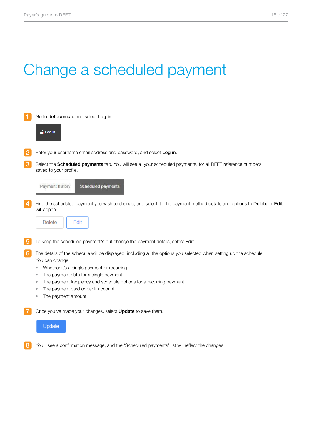# Change a scheduled payment

| 1               | Go to deft.com.au and select Log in.                                                                                                                                                                                                                                                                                                                                |
|-----------------|---------------------------------------------------------------------------------------------------------------------------------------------------------------------------------------------------------------------------------------------------------------------------------------------------------------------------------------------------------------------|
|                 | Log in                                                                                                                                                                                                                                                                                                                                                              |
| $\overline{2}$  | Enter your username email address and password, and select Log in.                                                                                                                                                                                                                                                                                                  |
| 3               | Select the Scheduled payments tab. You will see all your scheduled payments, for all DEFT reference numbers<br>saved to your profile.                                                                                                                                                                                                                               |
|                 | Payment history<br>Scheduled payments                                                                                                                                                                                                                                                                                                                               |
| $\overline{4}$  | Find the scheduled payment you wish to change, and select it. The payment method details and options to Delete or Edit<br>will appear.<br>Edit<br><b>Delete</b>                                                                                                                                                                                                     |
| $\overline{5}$  | To keep the scheduled payment/s but change the payment details, select Edit.                                                                                                                                                                                                                                                                                        |
| $6\phantom{1}6$ | The details of the schedule will be displayed, including all the options you selected when setting up the schedule.<br>You can change:<br>Whether it's a single payment or recurring<br>۰<br>The payment date for a single payment<br>The payment frequency and schedule options for a recurring payment<br>The payment card or bank account<br>The payment amount. |
|                 | Once you've made your changes, select Update to save them.<br><b>Update</b>                                                                                                                                                                                                                                                                                         |
|                 |                                                                                                                                                                                                                                                                                                                                                                     |

8 You'll see a confirmation message, and the 'Scheduled payments' list will reflect the changes.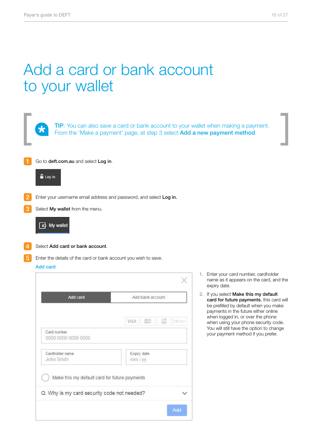### Add a card or bank account to your wallet

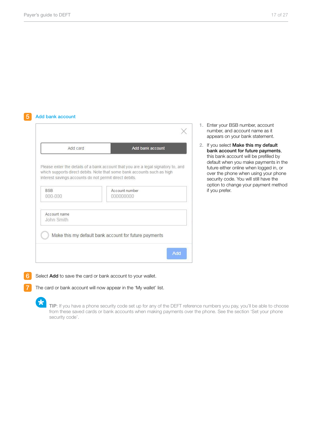#### 5 Add bank account

| Please enter the details of a bank account that you are a legal signatory to, and<br>which supports direct debits. Note that some bank accounts such as high |
|--------------------------------------------------------------------------------------------------------------------------------------------------------------|
|                                                                                                                                                              |
|                                                                                                                                                              |
|                                                                                                                                                              |
|                                                                                                                                                              |
|                                                                                                                                                              |
|                                                                                                                                                              |
|                                                                                                                                                              |
| Make this my default bank account for future payments                                                                                                        |
|                                                                                                                                                              |

- 1. Enter your BSB number, account number, and account name as it appears on your bank statement.
- 2. If you select Make this my default bank account for future payments, this bank account will be prefilled by default when you make payments in the future either online when logged in, or over the phone when using your phone security code. You will still have the option to change your payment method if you prefer.

Select Add to save the card or bank account to your wallet.

The card or bank account will now appear in the 'My wallet' list.

 $\star$ 

6

7

TIP: If you have a phone security code set up for any of the DEFT reference numbers you pay, you'll be able to choose from these saved cards or bank accounts when making payments over the phone. See the section 'Set your phone security code'.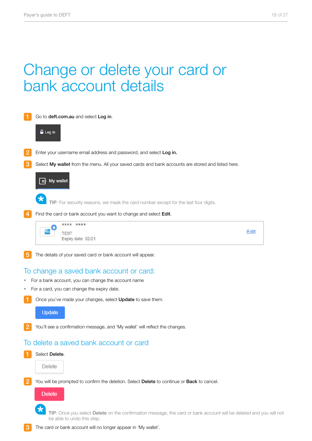### Change or delete your card or bank account details



Once you've made your changes, select Update to save them.

#### Update

You'll see a confirmation message, and 'My wallet' will reflect the changes.

### To delete a saved bank account or card

| Select Delete. |
|----------------|
| Delete         |
|                |

You will be prompted to confirm the deletion. Select Delete to continue or Back to cancel.



TIP: Once you select Delete on the confirmation message, the card or bank account will be deleted and you will not be able to undo this step.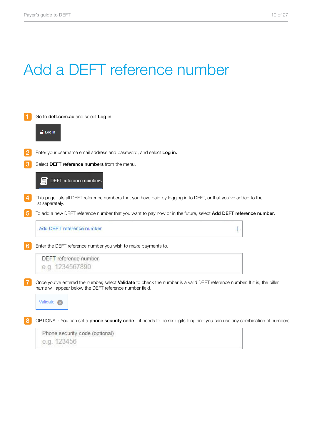# Add a DEFT reference number

|                 | Go to deft.com.au and select Log in.                                                                                                                                                  |
|-----------------|---------------------------------------------------------------------------------------------------------------------------------------------------------------------------------------|
|                 | <b>Log</b> in                                                                                                                                                                         |
| $\overline{2}$  | Enter your username email address and password, and select Log in.                                                                                                                    |
| 3               | Select DEFT reference numbers from the menu.                                                                                                                                          |
|                 | <b>DEFT</b> reference numbers                                                                                                                                                         |
| $\overline{4}$  | This page lists all DEFT reference numbers that you have paid by logging in to DEFT, or that you've added to the<br>list separately.                                                  |
| $\overline{5}$  | To add a new DEFT reference number that you want to pay now or in the future, select Add DEFT reference number.                                                                       |
|                 | Add DEFT reference number                                                                                                                                                             |
| $6\phantom{1}6$ | Enter the DEFT reference number you wish to make payments to.                                                                                                                         |
|                 | DEFT reference number                                                                                                                                                                 |
|                 | e.g. 1234567890                                                                                                                                                                       |
| $\overline{7}$  | Once you've entered the number, select Validate to check the number is a valid DEFT reference number. If it is, the biller<br>name will appear below the DEFT reference number field. |
|                 | Validate <b>X</b>                                                                                                                                                                     |
| 8               | OPTIONAL: You can set a phone security code - it needs to be six digits long and you can use any combination of numbers.                                                              |
|                 | Phone security code (optional)                                                                                                                                                        |
|                 | e.g. 123456                                                                                                                                                                           |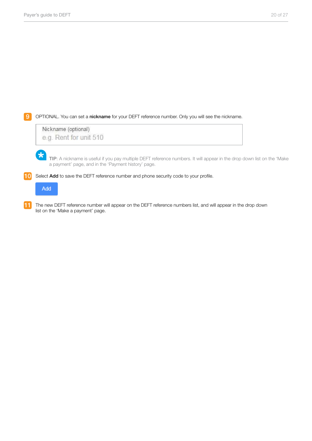**9** OPTIONAL. You can set a nickname for your DEFT reference number. Only you will see the nickname.

Nickname (optional) e.g. Rent for unit 510

> TIP: A nickname is useful if you pay multiple DEFT reference numbers. It will appear in the drop down list on the 'Make a payment' page, and in the 'Payment history' page.

10 Select Add to save the DEFT reference number and phone security code to your profile.

Add

 $\star$ 

11 The new DEFT reference number will appear on the DEFT reference numbers list, and will appear in the drop down list on the 'Make a payment' page.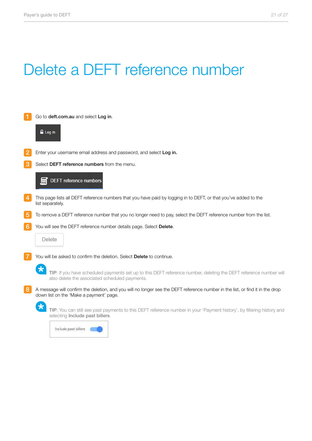# Delete a DEFT reference number

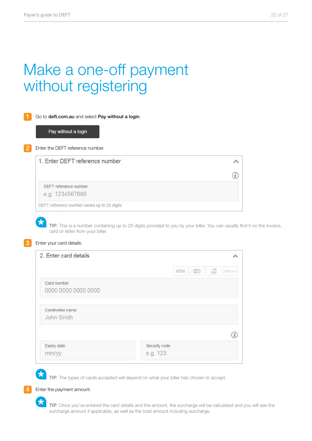# Make a one-off payment without registering

| Go to deft.com.au and select Pay without a login.<br>Pay without a login |  |
|--------------------------------------------------------------------------|--|
| Enter the DEFT reference number.                                         |  |
| 1. Enter DEFT reference number                                           |  |
|                                                                          |  |
| DEFT reference number                                                    |  |
|                                                                          |  |

TIP: This is a number containing up to 20 digits provided to you by your biller. You can usually find it on the invoice, card or letter from your biller.

#### Enter your card details.

 $\star$ 

| 2. Enter card details              |                                                    |
|------------------------------------|----------------------------------------------------|
|                                    | $\circledcirc$<br><b>VISA</b><br>(ii) 2013.11<br>æ |
| Card number<br>0000 0000 0000 0000 |                                                    |
| Cardholder name<br>John Smith      |                                                    |
|                                    |                                                    |
| Expiry date<br>mm/yy               | Security code<br>e.g. 123                          |

TIP: The types of cards accepted will depend on what your biller has chosen to accept.

Enter the payment amount.

 $\star$ 

TIP: Once you've entered the card details and the amount, the surcharge will be calculated and you will see the surcharge amount if applicable, as well as the total amount including surcharge.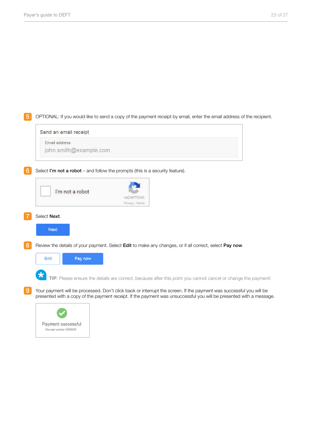5 OPTIONAL: If you would like to send a copy of the payment receipt by email, enter the email address of the recipient.

#### Send an email receipt

Email address

john.smith@example.com

6 Select I'm not a robot – and follow the prompts (this is a security feature).

|   | I'm not a robot | <b>TACAPTCHA</b><br>Privacy - Terms |                                                                                                                                                                                                                                            |
|---|-----------------|-------------------------------------|--------------------------------------------------------------------------------------------------------------------------------------------------------------------------------------------------------------------------------------------|
|   | Select Next.    |                                     |                                                                                                                                                                                                                                            |
|   | <b>Next</b>     |                                     |                                                                                                                                                                                                                                            |
| 8 | Edit<br>Pay now |                                     | Review the details of your payment. Select <b>Edit</b> to make any changes, or if all correct, select <b>Pay now</b> .                                                                                                                     |
|   |                 |                                     | TIP: Please ensure the details are correct, because after this point you cannot cancel or change the payment!                                                                                                                              |
| 9 |                 |                                     | Your payment will be processed. Don't click back or interrupt the screen. If the payment was successful you will be<br>presented with a copy of the payment receipt. If the payment was unsuccessful you will be presented with a message. |

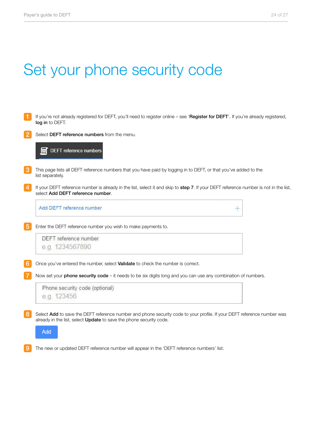# Set your phone security code

|   | If you're not already registered for DEFT, you'll need to register online - see 'Register for DEFT'. If you're already registered,<br>log in to DEFT.                                                 |
|---|-------------------------------------------------------------------------------------------------------------------------------------------------------------------------------------------------------|
|   | Select DEFT reference numbers from the menu.                                                                                                                                                          |
|   | <b>DEFT</b> reference numbers                                                                                                                                                                         |
| 3 | This page lists all DEFT reference numbers that you have paid by logging in to DEFT, or that you've added to the<br>list separately.                                                                  |
|   | If your DEFT reference number is already in the list, select it and skip to step 7. If your DEFT reference number is not in the list,<br>select Add DEFT reference number.                            |
|   | Add DEFT reference number<br>÷                                                                                                                                                                        |
| 5 | Enter the DEFT reference number you wish to make payments to.                                                                                                                                         |
|   | DEFT reference number                                                                                                                                                                                 |
|   | e.g. 1234567890                                                                                                                                                                                       |
| 6 | Once you've entered the number, select Validate to check the number is correct.                                                                                                                       |
|   | Now set your phone security code - it needs to be six digits long and you can use any combination of numbers.                                                                                         |
|   | Phone security code (optional)                                                                                                                                                                        |
|   | e.g. 123456                                                                                                                                                                                           |
| 8 | Select Add to save the DEFT reference number and phone security code to your profile. If your DEFT reference number was<br>already in the list, select <b>Update</b> to save the phone security code. |
|   | Add                                                                                                                                                                                                   |

9 The new or updated DEFT reference number will appear in the 'DEFT reference numbers' list.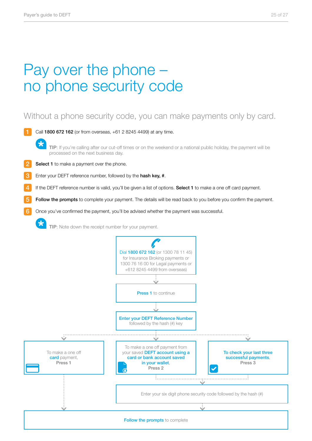# Pay over the phone – no phone security code

### Without a phone security code, you can make payments only by card.

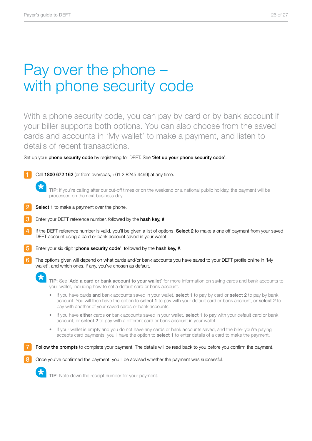## Pay over the phone – with phone security code

With a phone security code, you can pay by card or by bank account if your biller supports both options. You can also choose from the saved cards and accounts in 'My wallet' to make a payment, and listen to details of recent transactions.

Set up your phone security code by registering for DEFT. See 'Set up your phone security code'.



processed on the next business day.



- Enter your DEFT reference number, followed by the hash key, #.
- If the DEFT reference number is valid, you'll be given a list of options. Select 2 to make a one off payment from your saved DEFT account using a card or bank account saved in your wallet.
- Enter your six digit 'phone security code', followed by the hash key, #.
- The options given will depend on what cards and/or bank accounts you have saved to your DEFT profile online in 'My wallet', and which ones, if any, you've chosen as default.



- If you have cards and bank accounts saved in your wallet, select 1 to pay by card or select 2 to pay by bank account. You will then have the option to select 1 to pay with your default card or bank account, or select 2 to pay with another of your saved cards or bank accounts.
- If you have either cards or bank accounts saved in your wallet, select 1 to pay with your default card or bank account, or select 2 to pay with a different card or bank account in your wallet.
- If your wallet is empty and you do not have any cards or bank accounts saved, and the biller you're paying accepts card payments, you'll have the option to **select 1** to enter details of a card to make the payment.

**Follow the prompts** to complete your payment. The details will be read back to you before you confirm the payment.

Once you've confirmed the payment, you'll be advised whether the payment was successful.



 $\star$ 

TIP: Note down the receipt number for your payment.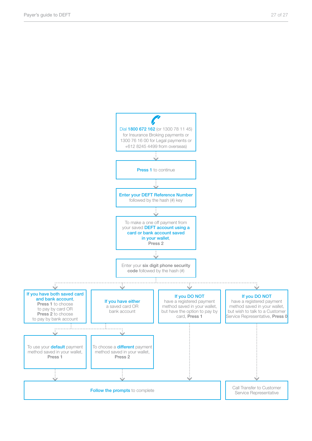